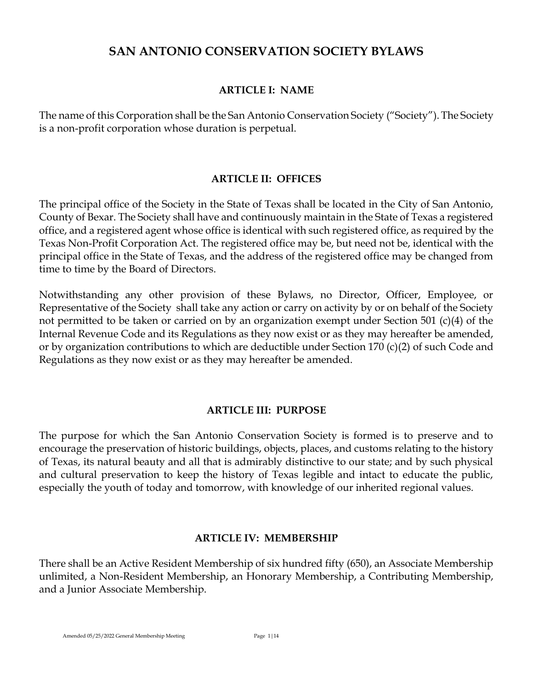# **SAN ANTONIO CONSERVATION SOCIETY BYLAWS**

#### **ARTICLE I: NAME**

The name of this Corporation shall be the San Antonio Conservation Society ("Society"). The Society is a non-profit corporation whose duration is perpetual.

#### **ARTICLE II: OFFICES**

The principal office of the Society in the State of Texas shall be located in the City of San Antonio, County of Bexar. The Society shall have and continuously maintain in the State of Texas a registered office, and a registered agent whose office is identical with such registered office, as required by the Texas Non-Profit Corporation Act. The registered office may be, but need not be, identical with the principal office in the State of Texas, and the address of the registered office may be changed from time to time by the Board of Directors.

Notwithstanding any other provision of these Bylaws, no Director, Officer, Employee, or Representative of the Society shall take any action or carry on activity by or on behalf of the Society not permitted to be taken or carried on by an organization exempt under Section 501 (c)(4) of the Internal Revenue Code and its Regulations as they now exist or as they may hereafter be amended, or by organization contributions to which are deductible under Section 170 (c)(2) of such Code and Regulations as they now exist or as they may hereafter be amended.

## **ARTICLE III: PURPOSE**

The purpose for which the San Antonio Conservation Society is formed is to preserve and to encourage the preservation of historic buildings, objects, places, and customs relating to the history of Texas, its natural beauty and all that is admirably distinctive to our state; and by such physical and cultural preservation to keep the history of Texas legible and intact to educate the public, especially the youth of today and tomorrow, with knowledge of our inherited regional values.

#### **ARTICLE IV: MEMBERSHIP**

There shall be an Active Resident Membership of six hundred fifty (650), an Associate Membership unlimited, a Non-Resident Membership, an Honorary Membership, a Contributing Membership, and a Junior Associate Membership.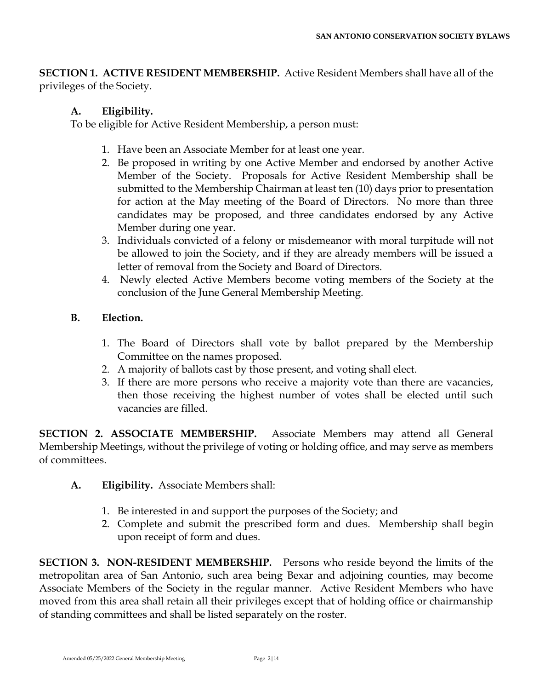**SECTION 1. ACTIVE RESIDENT MEMBERSHIP.** Active Resident Members shall have all of the privileges of the Society.

# **A. Eligibility.**

To be eligible for Active Resident Membership, a person must:

- 1. Have been an Associate Member for at least one year.
- 2. Be proposed in writing by one Active Member and endorsed by another Active Member of the Society. Proposals for Active Resident Membership shall be submitted to the Membership Chairman at least ten (10) days prior to presentation for action at the May meeting of the Board of Directors. No more than three candidates may be proposed, and three candidates endorsed by any Active Member during one year.
- 3. Individuals convicted of a felony or misdemeanor with moral turpitude will not be allowed to join the Society, and if they are already members will be issued a letter of removal from the Society and Board of Directors.
- 4. Newly elected Active Members become voting members of the Society at the conclusion of the June General Membership Meeting.

# **B. Election.**

- 1. The Board of Directors shall vote by ballot prepared by the Membership Committee on the names proposed.
- 2. A majority of ballots cast by those present, and voting shall elect.
- 3. If there are more persons who receive a majority vote than there are vacancies, then those receiving the highest number of votes shall be elected until such vacancies are filled.

**SECTION 2. ASSOCIATE MEMBERSHIP.** Associate Members may attend all General Membership Meetings, without the privilege of voting or holding office, and may serve as members of committees.

- **A. Eligibility.** Associate Members shall:
	- 1. Be interested in and support the purposes of the Society; and
	- 2. Complete and submit the prescribed form and dues. Membership shall begin upon receipt of form and dues.

**SECTION 3. NON-RESIDENT MEMBERSHIP.** Persons who reside beyond the limits of the metropolitan area of San Antonio, such area being Bexar and adjoining counties, may become Associate Members of the Society in the regular manner. Active Resident Members who have moved from this area shall retain all their privileges except that of holding office or chairmanship of standing committees and shall be listed separately on the roster.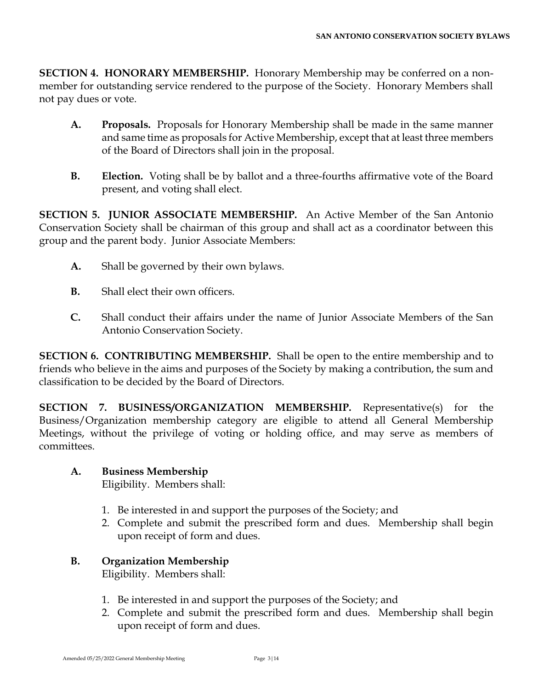**SECTION 4. HONORARY MEMBERSHIP.** Honorary Membership may be conferred on a nonmember for outstanding service rendered to the purpose of the Society. Honorary Members shall not pay dues or vote.

- **A. Proposals.** Proposals for Honorary Membership shall be made in the same manner and same time as proposals for Active Membership, except that at least three members of the Board of Directors shall join in the proposal.
- **B. Election.** Voting shall be by ballot and a three-fourths affirmative vote of the Board present, and voting shall elect.

**SECTION 5. JUNIOR ASSOCIATE MEMBERSHIP.** An Active Member of the San Antonio Conservation Society shall be chairman of this group and shall act as a coordinator between this group and the parent body. Junior Associate Members:

- **A.** Shall be governed by their own bylaws.
- **B.** Shall elect their own officers.
- **C.** Shall conduct their affairs under the name of Junior Associate Members of the San Antonio Conservation Society.

**SECTION 6. CONTRIBUTING MEMBERSHIP.** Shall be open to the entire membership and to friends who believe in the aims and purposes of the Society by making a contribution, the sum and classification to be decided by the Board of Directors.

**SECTION 7. BUSINESS/ORGANIZATION MEMBERSHIP.** Representative(s) for the Business/Organization membership category are eligible to attend all General Membership Meetings, without the privilege of voting or holding office, and may serve as members of committees.

# **A. Business Membership**

Eligibility. Members shall:

- 1. Be interested in and support the purposes of the Society; and
- 2. Complete and submit the prescribed form and dues. Membership shall begin upon receipt of form and dues.

## **B. Organization Membership** Eligibility. Members shall:

- 1. Be interested in and support the purposes of the Society; and
- 2. Complete and submit the prescribed form and dues. Membership shall begin upon receipt of form and dues.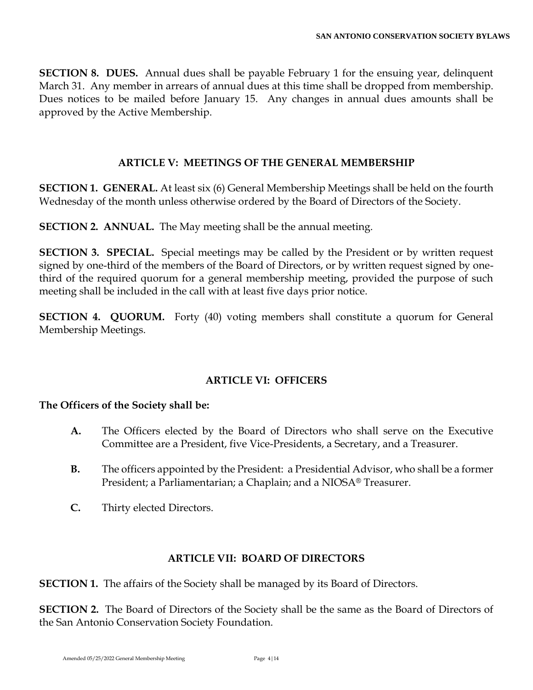**SECTION 8. DUES.** Annual dues shall be payable February 1 for the ensuing year, delinquent March 31. Any member in arrears of annual dues at this time shall be dropped from membership. Dues notices to be mailed before January 15. Any changes in annual dues amounts shall be approved by the Active Membership.

## **ARTICLE V: MEETINGS OF THE GENERAL MEMBERSHIP**

**SECTION 1. GENERAL.** At least six (6) General Membership Meetings shall be held on the fourth Wednesday of the month unless otherwise ordered by the Board of Directors of the Society.

**SECTION 2. ANNUAL.** The May meeting shall be the annual meeting.

**SECTION 3. SPECIAL.** Special meetings may be called by the President or by written request signed by one-third of the members of the Board of Directors, or by written request signed by onethird of the required quorum for a general membership meeting, provided the purpose of such meeting shall be included in the call with at least five days prior notice.

**SECTION 4. QUORUM.** Forty (40) voting members shall constitute a quorum for General Membership Meetings.

## **ARTICLE VI: OFFICERS**

# **The Officers of the Society shall be:**

- **A.** The Officers elected by the Board of Directors who shall serve on the Executive Committee are a President, five Vice-Presidents, a Secretary, and a Treasurer.
- **B.** The officers appointed by the President: a Presidential Advisor, who shall be a former President; a Parliamentarian; a Chaplain; and a NIOSA® Treasurer.
- **C.** Thirty elected Directors.

## **ARTICLE VII: BOARD OF DIRECTORS**

**SECTION 1.** The affairs of the Society shall be managed by its Board of Directors.

**SECTION 2.** The Board of Directors of the Society shall be the same as the Board of Directors of the San Antonio Conservation Society Foundation.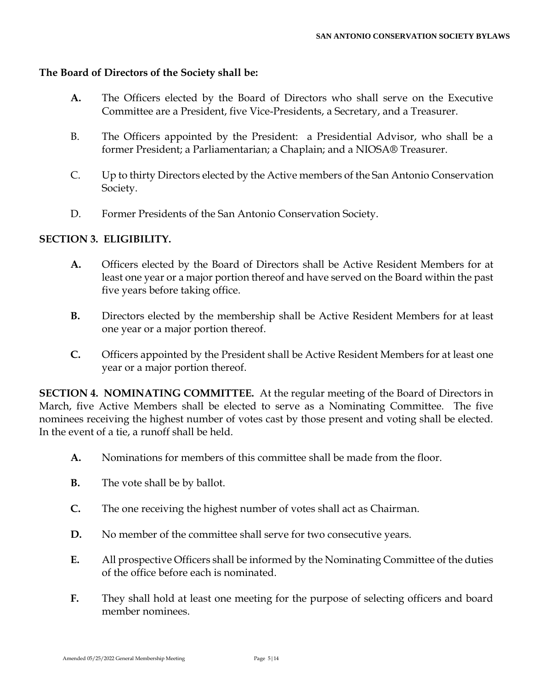#### **The Board of Directors of the Society shall be:**

- **A.** The Officers elected by the Board of Directors who shall serve on the Executive Committee are a President, five Vice-Presidents, a Secretary, and a Treasurer.
- B. The Officers appointed by the President: a Presidential Advisor, who shall be a former President; a Parliamentarian; a Chaplain; and a NIOSA® Treasurer.
- C. Up to thirty Directors elected by the Active members of the San Antonio Conservation Society.
- D. Former Presidents of the San Antonio Conservation Society.

#### **SECTION 3. ELIGIBILITY.**

- **A.** Officers elected by the Board of Directors shall be Active Resident Members for at least one year or a major portion thereof and have served on the Board within the past five years before taking office.
- **B.** Directors elected by the membership shall be Active Resident Members for at least one year or a major portion thereof.
- **C.** Officers appointed by the President shall be Active Resident Members for at least one year or a major portion thereof.

**SECTION 4. NOMINATING COMMITTEE.** At the regular meeting of the Board of Directors in March, five Active Members shall be elected to serve as a Nominating Committee. The five nominees receiving the highest number of votes cast by those present and voting shall be elected. In the event of a tie, a runoff shall be held.

- **A.** Nominations for members of this committee shall be made from the floor.
- **B.** The vote shall be by ballot.
- **C.** The one receiving the highest number of votes shall act as Chairman.
- **D.** No member of the committee shall serve for two consecutive years.
- **E.** All prospective Officers shall be informed by the Nominating Committee of the duties of the office before each is nominated.
- **F.** They shall hold at least one meeting for the purpose of selecting officers and board member nominees.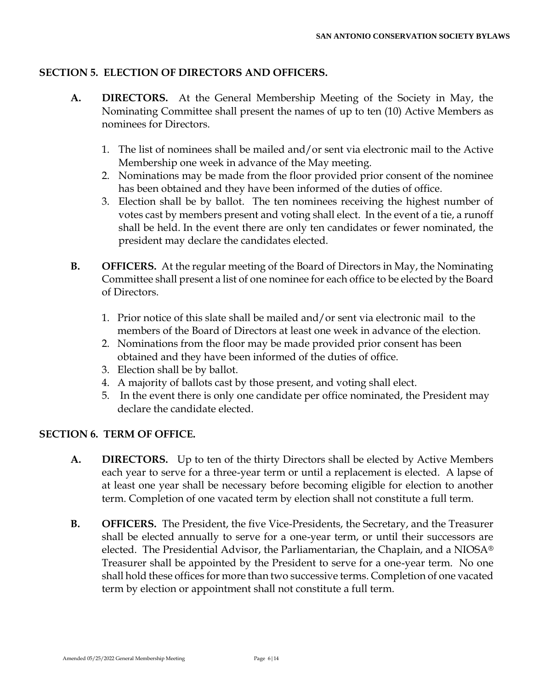## **SECTION 5. ELECTION OF DIRECTORS AND OFFICERS.**

- **A. DIRECTORS.** At the General Membership Meeting of the Society in May, the Nominating Committee shall present the names of up to ten (10) Active Members as nominees for Directors.
	- 1. The list of nominees shall be mailed and/or sent via electronic mail to the Active Membership one week in advance of the May meeting.
	- 2. Nominations may be made from the floor provided prior consent of the nominee has been obtained and they have been informed of the duties of office.
	- 3. Election shall be by ballot. The ten nominees receiving the highest number of votes cast by members present and voting shall elect. In the event of a tie, a runoff shall be held. In the event there are only ten candidates or fewer nominated, the president may declare the candidates elected.
- **B. OFFICERS.** At the regular meeting of the Board of Directors in May, the Nominating Committee shall present a list of one nominee for each office to be elected by the Board of Directors.
	- 1. Prior notice of this slate shall be mailed and/or sent via electronic mail to the members of the Board of Directors at least one week in advance of the election.
	- 2. Nominations from the floor may be made provided prior consent has been obtained and they have been informed of the duties of office.
	- 3. Election shall be by ballot.
	- 4. A majority of ballots cast by those present, and voting shall elect.
	- 5. In the event there is only one candidate per office nominated, the President may declare the candidate elected.

## **SECTION 6. TERM OF OFFICE.**

- **A. DIRECTORS.** Up to ten of the thirty Directors shall be elected by Active Members each year to serve for a three-year term or until a replacement is elected. A lapse of at least one year shall be necessary before becoming eligible for election to another term. Completion of one vacated term by election shall not constitute a full term.
- **B. OFFICERS.** The President, the five Vice-Presidents, the Secretary, and the Treasurer shall be elected annually to serve for a one-year term, or until their successors are elected. The Presidential Advisor, the Parliamentarian, the Chaplain, and a NIOSA® Treasurer shall be appointed by the President to serve for a one-year term. No one shall hold these offices for more than two successive terms. Completion of one vacated term by election or appointment shall not constitute a full term.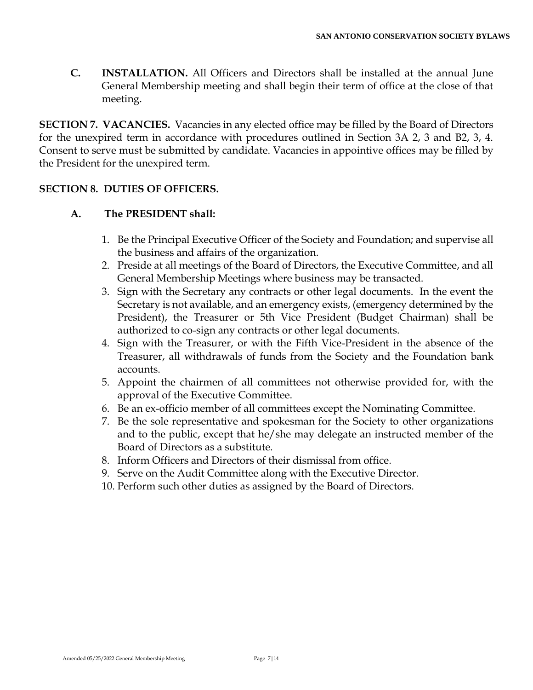**C. INSTALLATION.** All Officers and Directors shall be installed at the annual June General Membership meeting and shall begin their term of office at the close of that meeting.

**SECTION 7. VACANCIES.** Vacancies in any elected office may be filled by the Board of Directors for the unexpired term in accordance with procedures outlined in Section 3A 2, 3 and B2, 3, 4. Consent to serve must be submitted by candidate. Vacancies in appointive offices may be filled by the President for the unexpired term.

#### **SECTION 8. DUTIES OF OFFICERS.**

#### **A. The PRESIDENT shall:**

- 1. Be the Principal Executive Officer of the Society and Foundation; and supervise all the business and affairs of the organization.
- 2. Preside at all meetings of the Board of Directors, the Executive Committee, and all General Membership Meetings where business may be transacted.
- 3. Sign with the Secretary any contracts or other legal documents. In the event the Secretary is not available, and an emergency exists, (emergency determined by the President), the Treasurer or 5th Vice President (Budget Chairman) shall be authorized to co-sign any contracts or other legal documents.
- 4. Sign with the Treasurer, or with the Fifth Vice-President in the absence of the Treasurer, all withdrawals of funds from the Society and the Foundation bank accounts.
- 5. Appoint the chairmen of all committees not otherwise provided for, with the approval of the Executive Committee.
- 6. Be an ex-officio member of all committees except the Nominating Committee.
- 7. Be the sole representative and spokesman for the Society to other organizations and to the public, except that he/she may delegate an instructed member of the Board of Directors as a substitute.
- 8. Inform Officers and Directors of their dismissal from office.
- 9. Serve on the Audit Committee along with the Executive Director.
- 10. Perform such other duties as assigned by the Board of Directors.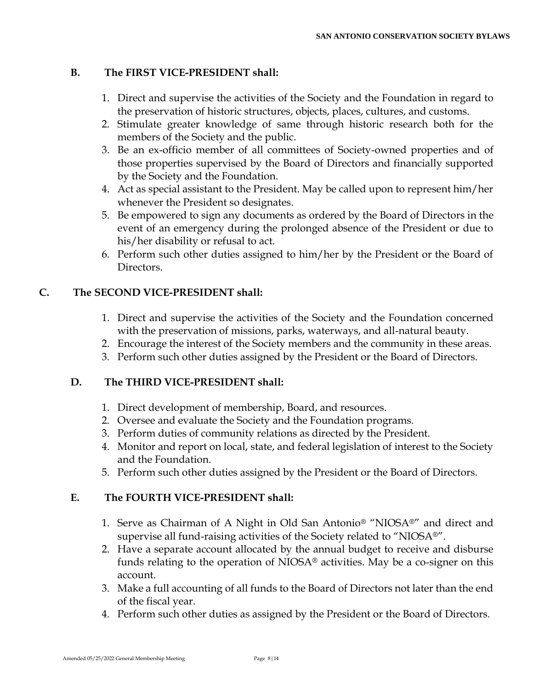#### **B. The FIRST VICE-PRESIDENT shall:**

- 1. Direct and supervise the activities of the Society and the Foundation in regard to the preservation of historic structures, objects, places, cultures, and customs.
- 2. Stimulate greater knowledge of same through historic research both for the members of the Society and the public.
- 3. Be an ex-officio member of all committees of Society-owned properties and of those properties supervised by the Board of Directors and financially supported by the Society and the Foundation.
- 4. Act as special assistant to the President. May be called upon to represent him/her whenever the President so designates.
- 5. Be empowered to sign any documents as ordered by the Board of Directors in the event of an emergency during the prolonged absence of the President or due to his/her disability or refusal to act.
- 6. Perform such other duties assigned to him/her by the President or the Board of Directors.

## **C. The SECOND VICE-PRESIDENT shall:**

- 1. Direct and supervise the activities of the Society and the Foundation concerned with the preservation of missions, parks, waterways, and all-natural beauty.
- 2. Encourage the interest of the Society members and the community in these areas.
- 3. Perform such other duties assigned by the President or the Board of Directors.

## **D. The THIRD VICE-PRESIDENT shall:**

- 1. Direct development of membership, Board, and resources.
- 2. Oversee and evaluate the Society and the Foundation programs.
- 3. Perform duties of community relations as directed by the President.
- 4. Monitor and report on local, state, and federal legislation of interest to the Society and the Foundation.
- 5. Perform such other duties assigned by the President or the Board of Directors.

## **E. The FOURTH VICE-PRESIDENT shall:**

- 1. Serve as Chairman of A Night in Old San Antonio® "NIOSA®" and direct and supervise all fund-raising activities of the Society related to "NIOSA®".
- 2. Have a separate account allocated by the annual budget to receive and disburse funds relating to the operation of NIOSA® activities. May be a co-signer on this account.
- 3. Make a full accounting of all funds to the Board of Directors not later than the end of the fiscal year.
- 4. Perform such other duties as assigned by the President or the Board of Directors.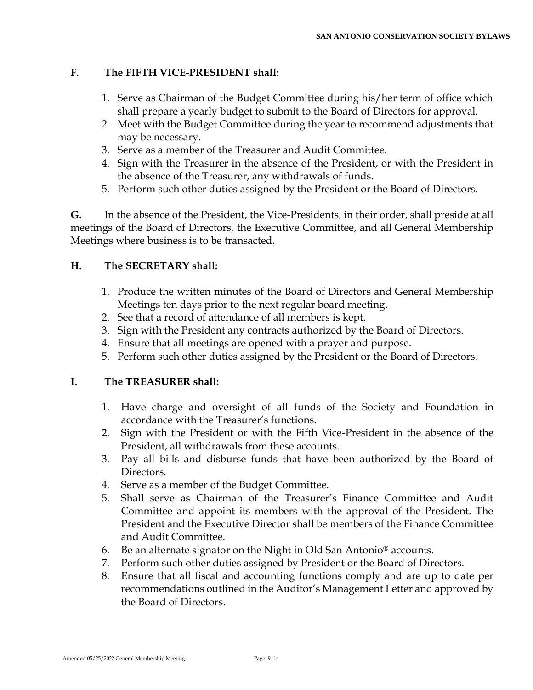## **F. The FIFTH VICE-PRESIDENT shall:**

- 1. Serve as Chairman of the Budget Committee during his/her term of office which shall prepare a yearly budget to submit to the Board of Directors for approval.
- 2. Meet with the Budget Committee during the year to recommend adjustments that may be necessary.
- 3. Serve as a member of the Treasurer and Audit Committee.
- 4. Sign with the Treasurer in the absence of the President, or with the President in the absence of the Treasurer, any withdrawals of funds.
- 5. Perform such other duties assigned by the President or the Board of Directors.

**G.** In the absence of the President, the Vice-Presidents, in their order, shall preside at all meetings of the Board of Directors, the Executive Committee, and all General Membership Meetings where business is to be transacted.

## **H. The SECRETARY shall:**

- 1. Produce the written minutes of the Board of Directors and General Membership Meetings ten days prior to the next regular board meeting.
- 2. See that a record of attendance of all members is kept.
- 3. Sign with the President any contracts authorized by the Board of Directors.
- 4. Ensure that all meetings are opened with a prayer and purpose.
- 5. Perform such other duties assigned by the President or the Board of Directors.

## **I. The TREASURER shall:**

- 1. Have charge and oversight of all funds of the Society and Foundation in accordance with the Treasurer's functions.
- 2. Sign with the President or with the Fifth Vice-President in the absence of the President, all withdrawals from these accounts.
- 3. Pay all bills and disburse funds that have been authorized by the Board of Directors.
- 4. Serve as a member of the Budget Committee.
- 5. Shall serve as Chairman of the Treasurer's Finance Committee and Audit Committee and appoint its members with the approval of the President. The President and the Executive Director shall be members of the Finance Committee and Audit Committee.
- 6. Be an alternate signator on the Night in Old San Antonio® accounts.
- 7. Perform such other duties assigned by President or the Board of Directors.
- 8. Ensure that all fiscal and accounting functions comply and are up to date per recommendations outlined in the Auditor's Management Letter and approved by the Board of Directors.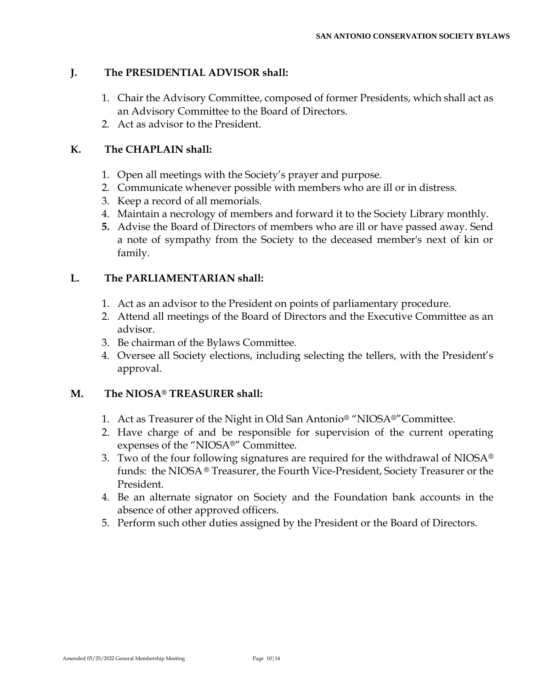## **J. The PRESIDENTIAL ADVISOR shall:**

- 1. Chair the Advisory Committee, composed of former Presidents, which shall act as an Advisory Committee to the Board of Directors.
- 2. Act as advisor to the President.

#### **K. The CHAPLAIN shall:**

- 1. Open all meetings with the Society's prayer and purpose.
- 2. Communicate whenever possible with members who are ill or in distress.
- 3. Keep a record of all memorials.
- 4. Maintain a necrology of members and forward it to the Society Library monthly.
- **5.** Advise the Board of Directors of members who are ill or have passed away. Send a note of sympathy from the Society to the deceased member's next of kin or family.

#### **L. The PARLIAMENTARIAN shall:**

- 1. Act as an advisor to the President on points of parliamentary procedure.
- 2. Attend all meetings of the Board of Directors and the Executive Committee as an advisor.
- 3. Be chairman of the Bylaws Committee.
- 4. Oversee all Society elections, including selecting the tellers, with the President's approval.

#### **M. The NIOSA® TREASURER shall:**

- 1. Act as Treasurer of the Night in Old San Antonio® "NIOSA®"Committee.
- 2. Have charge of and be responsible for supervision of the current operating expenses of the "NIOSA®" Committee.
- 3. Two of the four following signatures are required for the withdrawal of NIOSA<sup>®</sup> funds: the NIOSA® Treasurer, the Fourth Vice-President, Society Treasurer or the President.
- 4. Be an alternate signator on Society and the Foundation bank accounts in the absence of other approved officers.
- 5. Perform such other duties assigned by the President or the Board of Directors.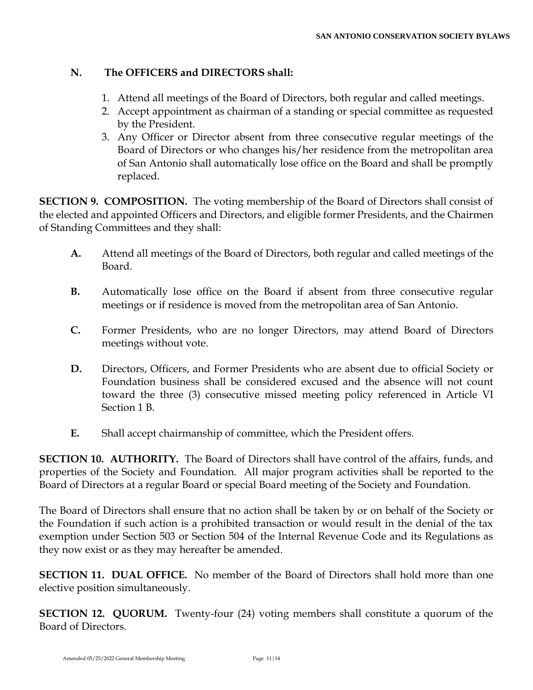#### **N. The OFFICERS and DIRECTORS shall:**

- 1. Attend all meetings of the Board of Directors, both regular and called meetings.
- 2. Accept appointment as chairman of a standing or special committee as requested by the President.
- 3. Any Officer or Director absent from three consecutive regular meetings of the Board of Directors or who changes his/her residence from the metropolitan area of San Antonio shall automatically lose office on the Board and shall be promptly replaced.

**SECTION 9. COMPOSITION.** The voting membership of the Board of Directors shall consist of the elected and appointed Officers and Directors, and eligible former Presidents, and the Chairmen of Standing Committees and they shall:

- **A.** Attend all meetings of the Board of Directors, both regular and called meetings of the Board.
- **B.** Automatically lose office on the Board if absent from three consecutive regular meetings or if residence is moved from the metropolitan area of San Antonio.
- **C.** Former Presidents, who are no longer Directors, may attend Board of Directors meetings without vote.
- **D.** Directors, Officers, and Former Presidents who are absent due to official Society or Foundation business shall be considered excused and the absence will not count toward the three (3) consecutive missed meeting policy referenced in Article VI Section 1 B.
- **E.** Shall accept chairmanship of committee, which the President offers.

**SECTION 10. AUTHORITY.** The Board of Directors shall have control of the affairs, funds, and properties of the Society and Foundation. All major program activities shall be reported to the Board of Directors at a regular Board or special Board meeting of the Society and Foundation.

The Board of Directors shall ensure that no action shall be taken by or on behalf of the Society or the Foundation if such action is a prohibited transaction or would result in the denial of the tax exemption under Section 503 or Section 504 of the Internal Revenue Code and its Regulations as they now exist or as they may hereafter be amended.

**SECTION 11. DUAL OFFICE.** No member of the Board of Directors shall hold more than one elective position simultaneously.

**SECTION 12. QUORUM.** Twenty-four (24) voting members shall constitute a quorum of the Board of Directors.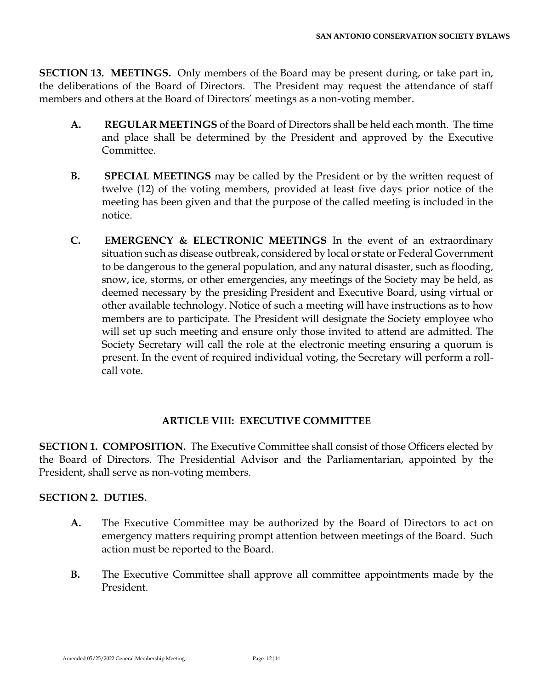**SECTION 13. MEETINGS.** Only members of the Board may be present during, or take part in, the deliberations of the Board of Directors. The President may request the attendance of staff members and others at the Board of Directors' meetings as a non-voting member.

- **A. REGULAR MEETINGS** of the Board of Directors shall be held each month. The time and place shall be determined by the President and approved by the Executive Committee.
- **B. SPECIAL MEETINGS** may be called by the President or by the written request of twelve (12) of the voting members, provided at least five days prior notice of the meeting has been given and that the purpose of the called meeting is included in the notice.
- **C. EMERGENCY & ELECTRONIC MEETINGS** In the event of an extraordinary situation such as disease outbreak, considered by local or state or Federal Government to be dangerous to the general population, and any natural disaster, such as flooding, snow, ice, storms, or other emergencies, any meetings of the Society may be held, as deemed necessary by the presiding President and Executive Board, using virtual or other available technology. Notice of such a meeting will have instructions as to how members are to participate. The President will designate the Society employee who will set up such meeting and ensure only those invited to attend are admitted. The Society Secretary will call the role at the electronic meeting ensuring a quorum is present. In the event of required individual voting, the Secretary will perform a rollcall vote.

## **ARTICLE VIII: EXECUTIVE COMMITTEE**

**SECTION 1. COMPOSITION.** The Executive Committee shall consist of those Officers elected by the Board of Directors. The Presidential Advisor and the Parliamentarian, appointed by the President, shall serve as non-voting members.

#### **SECTION 2. DUTIES.**

- **A.** The Executive Committee may be authorized by the Board of Directors to act on emergency matters requiring prompt attention between meetings of the Board. Such action must be reported to the Board.
- **B.** The Executive Committee shall approve all committee appointments made by the President.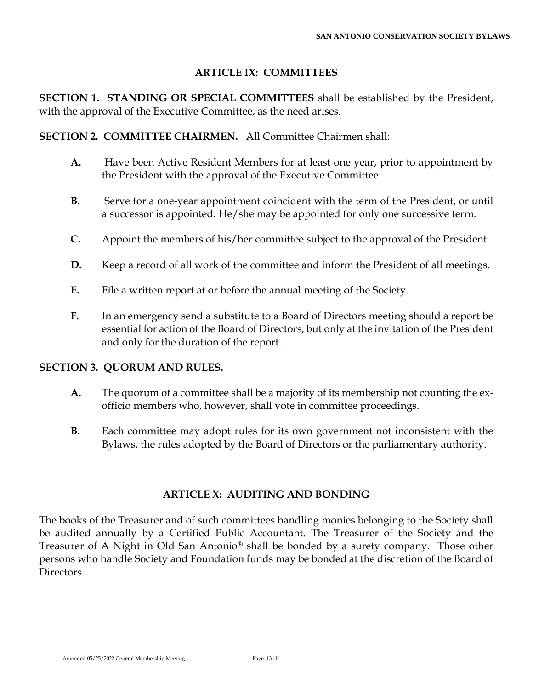# **ARTICLE IX: COMMITTEES**

**SECTION 1. STANDING OR SPECIAL COMMITTEES** shall be established by the President, with the approval of the Executive Committee, as the need arises.

**SECTION 2. COMMITTEE CHAIRMEN.** All Committee Chairmen shall:

- **A.** Have been Active Resident Members for at least one year, prior to appointment by the President with the approval of the Executive Committee.
- **B.** Serve for a one-year appointment coincident with the term of the President, or until a successor is appointed. He/she may be appointed for only one successive term.
- **C.** Appoint the members of his/her committee subject to the approval of the President.
- **D.** Keep a record of all work of the committee and inform the President of all meetings.
- **E.** File a written report at or before the annual meeting of the Society.
- **F.** In an emergency send a substitute to a Board of Directors meeting should a report be essential for action of the Board of Directors, but only at the invitation of the President and only for the duration of the report.

## **SECTION 3. QUORUM AND RULES.**

- **A.** The quorum of a committee shall be a majority of its membership not counting the exofficio members who, however, shall vote in committee proceedings.
- **B.** Each committee may adopt rules for its own government not inconsistent with the Bylaws, the rules adopted by the Board of Directors or the parliamentary authority.

## **ARTICLE X: AUDITING AND BONDING**

The books of the Treasurer and of such committees handling monies belonging to the Society shall be audited annually by a Certified Public Accountant. The Treasurer of the Society and the Treasurer of A Night in Old San Antonio® shall be bonded by a surety company. Those other persons who handle Society and Foundation funds may be bonded at the discretion of the Board of Directors.